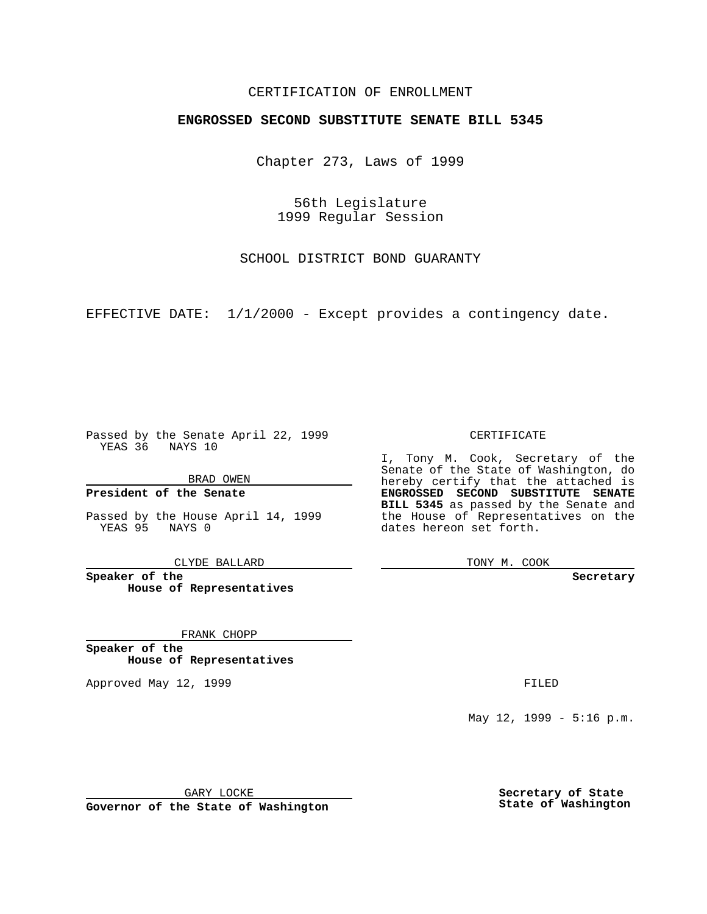### CERTIFICATION OF ENROLLMENT

# **ENGROSSED SECOND SUBSTITUTE SENATE BILL 5345**

Chapter 273, Laws of 1999

56th Legislature 1999 Regular Session

SCHOOL DISTRICT BOND GUARANTY

EFFECTIVE DATE: 1/1/2000 - Except provides a contingency date.

Passed by the Senate April 22, 1999 YEAS 36 NAYS 10

BRAD OWEN

**President of the Senate**

Passed by the House April 14, 1999 YEAS 95 NAYS 0

CLYDE BALLARD

**Speaker of the House of Representatives**

FRANK CHOPP

**Speaker of the House of Representatives**

Approved May 12, 1999 **FILED** 

CERTIFICATE

I, Tony M. Cook, Secretary of the Senate of the State of Washington, do hereby certify that the attached is **ENGROSSED SECOND SUBSTITUTE SENATE BILL 5345** as passed by the Senate and the House of Representatives on the dates hereon set forth.

TONY M. COOK

**Secretary**

May 12, 1999 - 5:16 p.m.

GARY LOCKE

**Governor of the State of Washington**

**Secretary of State State of Washington**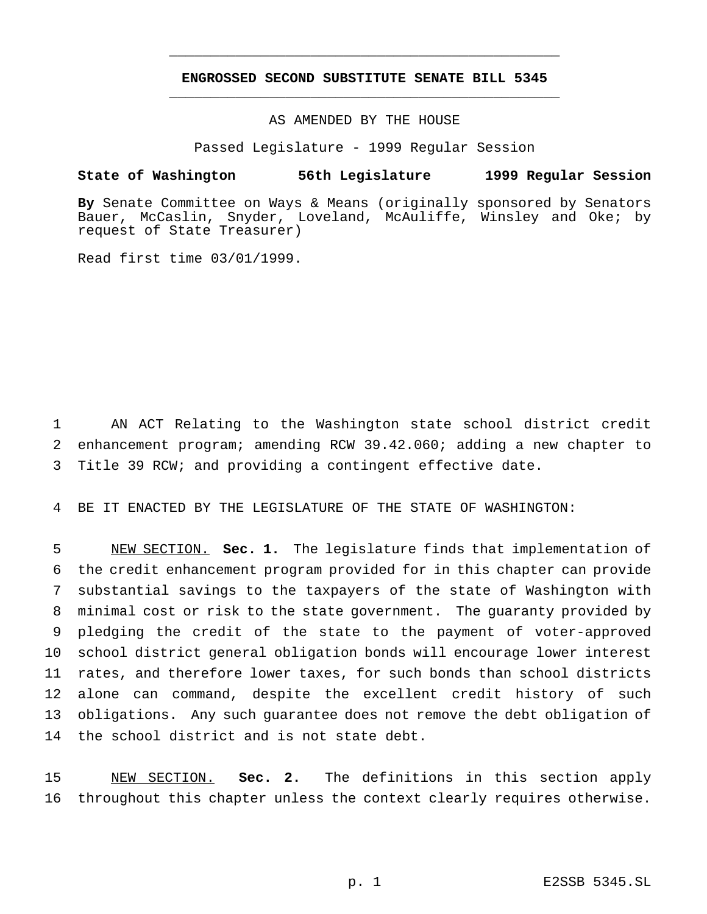## **ENGROSSED SECOND SUBSTITUTE SENATE BILL 5345** \_\_\_\_\_\_\_\_\_\_\_\_\_\_\_\_\_\_\_\_\_\_\_\_\_\_\_\_\_\_\_\_\_\_\_\_\_\_\_\_\_\_\_\_\_\_\_

\_\_\_\_\_\_\_\_\_\_\_\_\_\_\_\_\_\_\_\_\_\_\_\_\_\_\_\_\_\_\_\_\_\_\_\_\_\_\_\_\_\_\_\_\_\_\_

#### AS AMENDED BY THE HOUSE

Passed Legislature - 1999 Regular Session

#### **State of Washington 56th Legislature 1999 Regular Session**

**By** Senate Committee on Ways & Means (originally sponsored by Senators Bauer, McCaslin, Snyder, Loveland, McAuliffe, Winsley and Oke; by request of State Treasurer)

Read first time 03/01/1999.

1 AN ACT Relating to the Washington state school district credit 2 enhancement program; amending RCW 39.42.060; adding a new chapter to 3 Title 39 RCW; and providing a contingent effective date.

4 BE IT ENACTED BY THE LEGISLATURE OF THE STATE OF WASHINGTON:

 NEW SECTION. **Sec. 1.** The legislature finds that implementation of the credit enhancement program provided for in this chapter can provide substantial savings to the taxpayers of the state of Washington with minimal cost or risk to the state government. The guaranty provided by pledging the credit of the state to the payment of voter-approved school district general obligation bonds will encourage lower interest rates, and therefore lower taxes, for such bonds than school districts alone can command, despite the excellent credit history of such obligations. Any such guarantee does not remove the debt obligation of the school district and is not state debt.

15 NEW SECTION. **Sec. 2.** The definitions in this section apply 16 throughout this chapter unless the context clearly requires otherwise.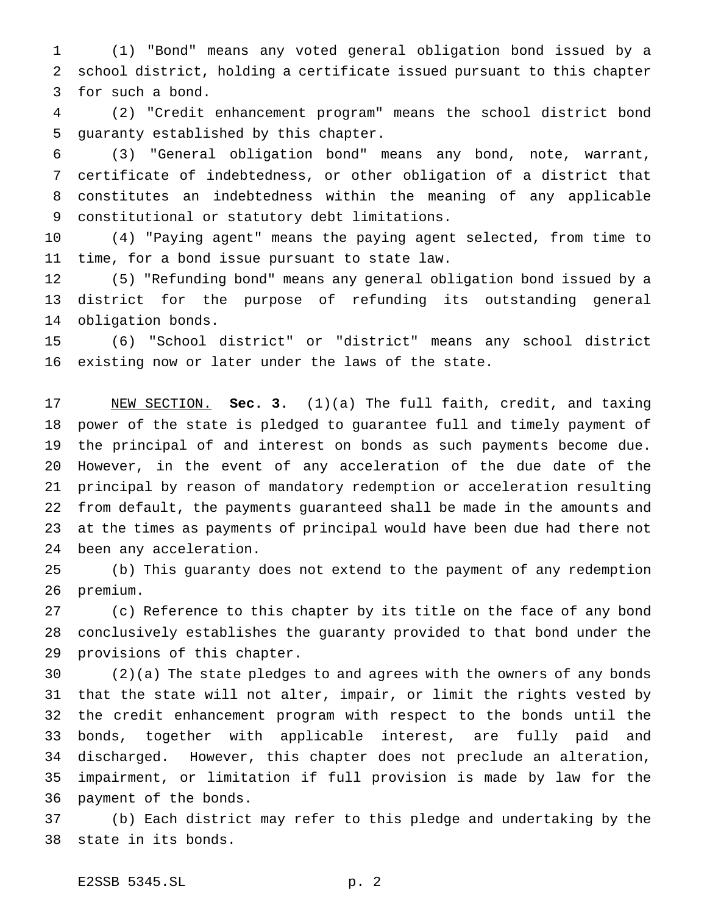(1) "Bond" means any voted general obligation bond issued by a school district, holding a certificate issued pursuant to this chapter for such a bond.

 (2) "Credit enhancement program" means the school district bond guaranty established by this chapter.

 (3) "General obligation bond" means any bond, note, warrant, certificate of indebtedness, or other obligation of a district that constitutes an indebtedness within the meaning of any applicable constitutional or statutory debt limitations.

 (4) "Paying agent" means the paying agent selected, from time to time, for a bond issue pursuant to state law.

 (5) "Refunding bond" means any general obligation bond issued by a district for the purpose of refunding its outstanding general obligation bonds.

 (6) "School district" or "district" means any school district existing now or later under the laws of the state.

 NEW SECTION. **Sec. 3.** (1)(a) The full faith, credit, and taxing power of the state is pledged to guarantee full and timely payment of the principal of and interest on bonds as such payments become due. However, in the event of any acceleration of the due date of the principal by reason of mandatory redemption or acceleration resulting from default, the payments guaranteed shall be made in the amounts and at the times as payments of principal would have been due had there not been any acceleration.

 (b) This guaranty does not extend to the payment of any redemption premium.

 (c) Reference to this chapter by its title on the face of any bond conclusively establishes the guaranty provided to that bond under the provisions of this chapter.

 (2)(a) The state pledges to and agrees with the owners of any bonds that the state will not alter, impair, or limit the rights vested by the credit enhancement program with respect to the bonds until the bonds, together with applicable interest, are fully paid and discharged. However, this chapter does not preclude an alteration, impairment, or limitation if full provision is made by law for the payment of the bonds.

 (b) Each district may refer to this pledge and undertaking by the state in its bonds.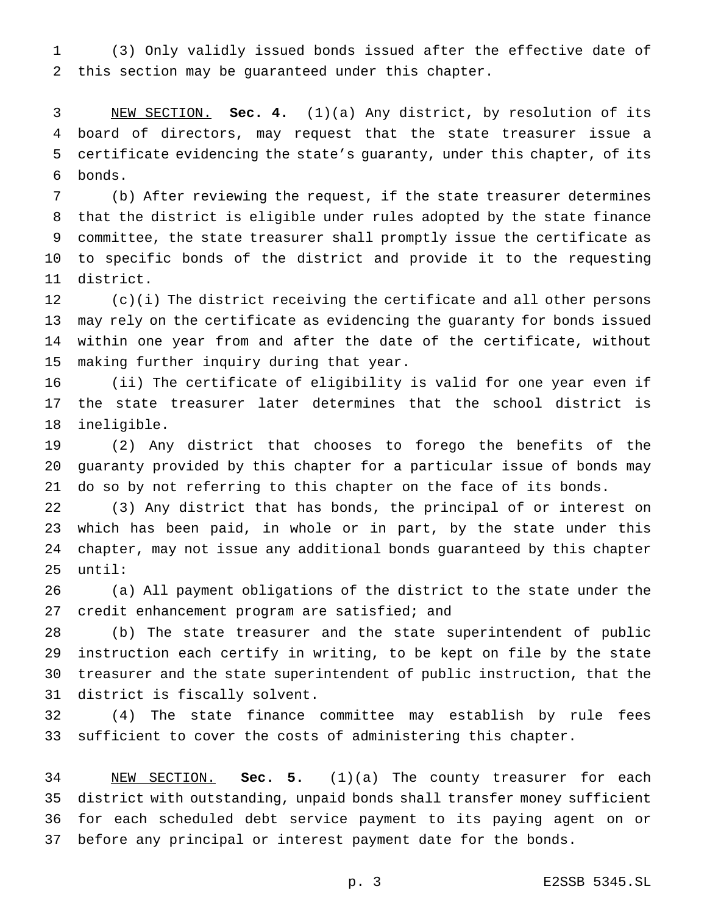(3) Only validly issued bonds issued after the effective date of this section may be guaranteed under this chapter.

 NEW SECTION. **Sec. 4.** (1)(a) Any district, by resolution of its board of directors, may request that the state treasurer issue a certificate evidencing the state's guaranty, under this chapter, of its bonds.

 (b) After reviewing the request, if the state treasurer determines that the district is eligible under rules adopted by the state finance committee, the state treasurer shall promptly issue the certificate as to specific bonds of the district and provide it to the requesting district.

 (c)(i) The district receiving the certificate and all other persons may rely on the certificate as evidencing the guaranty for bonds issued within one year from and after the date of the certificate, without making further inquiry during that year.

 (ii) The certificate of eligibility is valid for one year even if the state treasurer later determines that the school district is ineligible.

 (2) Any district that chooses to forego the benefits of the guaranty provided by this chapter for a particular issue of bonds may do so by not referring to this chapter on the face of its bonds.

 (3) Any district that has bonds, the principal of or interest on which has been paid, in whole or in part, by the state under this chapter, may not issue any additional bonds guaranteed by this chapter until:

 (a) All payment obligations of the district to the state under the credit enhancement program are satisfied; and

 (b) The state treasurer and the state superintendent of public instruction each certify in writing, to be kept on file by the state treasurer and the state superintendent of public instruction, that the district is fiscally solvent.

 (4) The state finance committee may establish by rule fees sufficient to cover the costs of administering this chapter.

 NEW SECTION. **Sec. 5.** (1)(a) The county treasurer for each district with outstanding, unpaid bonds shall transfer money sufficient for each scheduled debt service payment to its paying agent on or before any principal or interest payment date for the bonds.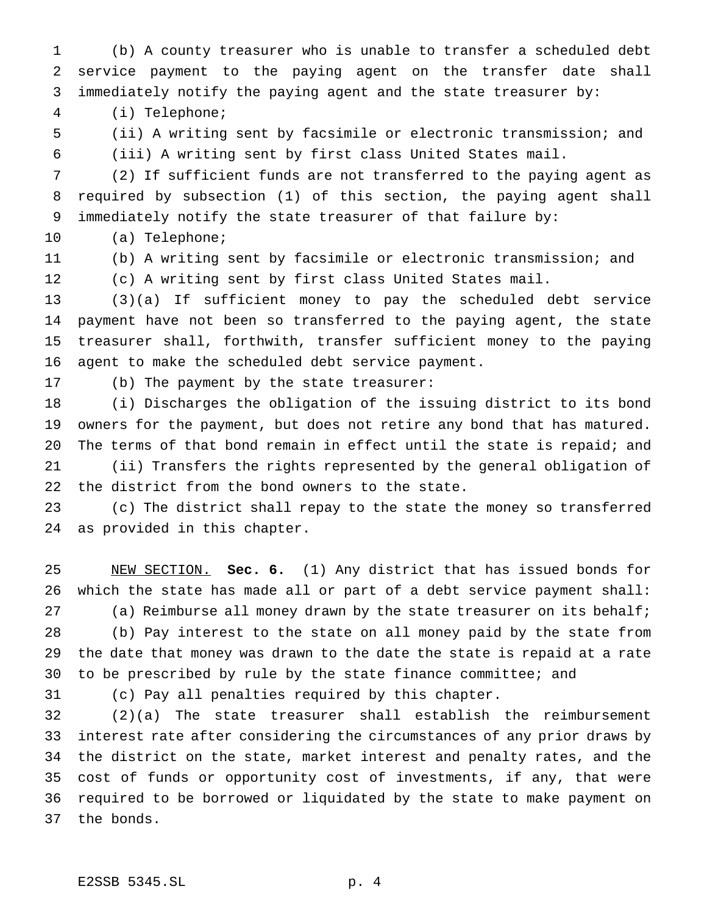(b) A county treasurer who is unable to transfer a scheduled debt service payment to the paying agent on the transfer date shall immediately notify the paying agent and the state treasurer by:

(i) Telephone;

 (ii) A writing sent by facsimile or electronic transmission; and (iii) A writing sent by first class United States mail.

 (2) If sufficient funds are not transferred to the paying agent as required by subsection (1) of this section, the paying agent shall immediately notify the state treasurer of that failure by:

(a) Telephone;

 (b) A writing sent by facsimile or electronic transmission; and (c) A writing sent by first class United States mail.

 (3)(a) If sufficient money to pay the scheduled debt service payment have not been so transferred to the paying agent, the state treasurer shall, forthwith, transfer sufficient money to the paying agent to make the scheduled debt service payment.

(b) The payment by the state treasurer:

 (i) Discharges the obligation of the issuing district to its bond owners for the payment, but does not retire any bond that has matured. The terms of that bond remain in effect until the state is repaid; and (ii) Transfers the rights represented by the general obligation of the district from the bond owners to the state.

 (c) The district shall repay to the state the money so transferred as provided in this chapter.

 NEW SECTION. **Sec. 6.** (1) Any district that has issued bonds for which the state has made all or part of a debt service payment shall: (a) Reimburse all money drawn by the state treasurer on its behalf; (b) Pay interest to the state on all money paid by the state from the date that money was drawn to the date the state is repaid at a rate to be prescribed by rule by the state finance committee; and

(c) Pay all penalties required by this chapter.

 (2)(a) The state treasurer shall establish the reimbursement interest rate after considering the circumstances of any prior draws by the district on the state, market interest and penalty rates, and the cost of funds or opportunity cost of investments, if any, that were required to be borrowed or liquidated by the state to make payment on the bonds.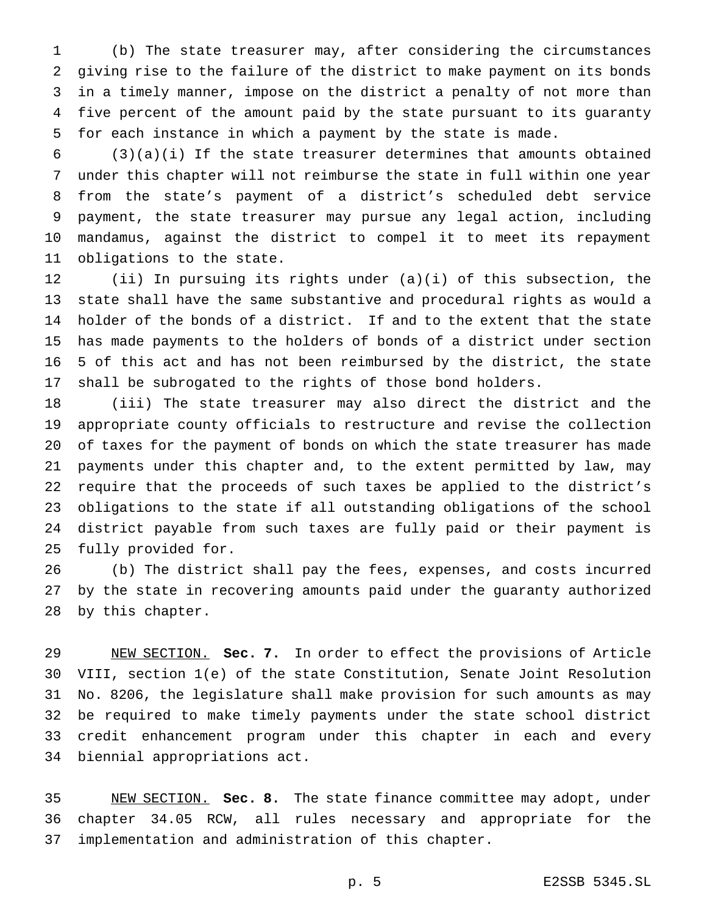(b) The state treasurer may, after considering the circumstances giving rise to the failure of the district to make payment on its bonds in a timely manner, impose on the district a penalty of not more than five percent of the amount paid by the state pursuant to its guaranty for each instance in which a payment by the state is made.

 (3)(a)(i) If the state treasurer determines that amounts obtained under this chapter will not reimburse the state in full within one year from the state's payment of a district's scheduled debt service payment, the state treasurer may pursue any legal action, including mandamus, against the district to compel it to meet its repayment obligations to the state.

 (ii) In pursuing its rights under (a)(i) of this subsection, the state shall have the same substantive and procedural rights as would a holder of the bonds of a district. If and to the extent that the state has made payments to the holders of bonds of a district under section 5 of this act and has not been reimbursed by the district, the state shall be subrogated to the rights of those bond holders.

 (iii) The state treasurer may also direct the district and the appropriate county officials to restructure and revise the collection of taxes for the payment of bonds on which the state treasurer has made payments under this chapter and, to the extent permitted by law, may require that the proceeds of such taxes be applied to the district's obligations to the state if all outstanding obligations of the school district payable from such taxes are fully paid or their payment is fully provided for.

 (b) The district shall pay the fees, expenses, and costs incurred by the state in recovering amounts paid under the guaranty authorized by this chapter.

 NEW SECTION. **Sec. 7.** In order to effect the provisions of Article VIII, section 1(e) of the state Constitution, Senate Joint Resolution No. 8206, the legislature shall make provision for such amounts as may be required to make timely payments under the state school district credit enhancement program under this chapter in each and every biennial appropriations act.

 NEW SECTION. **Sec. 8.** The state finance committee may adopt, under chapter 34.05 RCW, all rules necessary and appropriate for the implementation and administration of this chapter.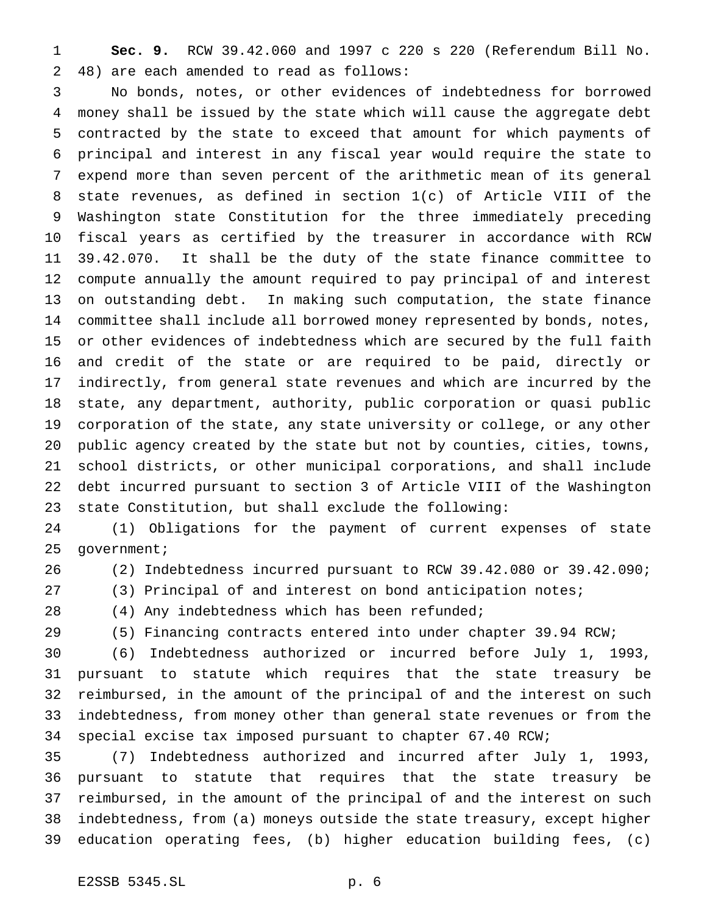**Sec. 9.** RCW 39.42.060 and 1997 c 220 s 220 (Referendum Bill No. 48) are each amended to read as follows:

 No bonds, notes, or other evidences of indebtedness for borrowed money shall be issued by the state which will cause the aggregate debt contracted by the state to exceed that amount for which payments of principal and interest in any fiscal year would require the state to expend more than seven percent of the arithmetic mean of its general state revenues, as defined in section 1(c) of Article VIII of the Washington state Constitution for the three immediately preceding fiscal years as certified by the treasurer in accordance with RCW 39.42.070. It shall be the duty of the state finance committee to compute annually the amount required to pay principal of and interest on outstanding debt. In making such computation, the state finance committee shall include all borrowed money represented by bonds, notes, or other evidences of indebtedness which are secured by the full faith and credit of the state or are required to be paid, directly or indirectly, from general state revenues and which are incurred by the state, any department, authority, public corporation or quasi public corporation of the state, any state university or college, or any other public agency created by the state but not by counties, cities, towns, school districts, or other municipal corporations, and shall include debt incurred pursuant to section 3 of Article VIII of the Washington state Constitution, but shall exclude the following:

 (1) Obligations for the payment of current expenses of state government;

(2) Indebtedness incurred pursuant to RCW 39.42.080 or 39.42.090;

(3) Principal of and interest on bond anticipation notes;

(4) Any indebtedness which has been refunded;

(5) Financing contracts entered into under chapter 39.94 RCW;

 (6) Indebtedness authorized or incurred before July 1, 1993, pursuant to statute which requires that the state treasury be reimbursed, in the amount of the principal of and the interest on such indebtedness, from money other than general state revenues or from the special excise tax imposed pursuant to chapter 67.40 RCW;

 (7) Indebtedness authorized and incurred after July 1, 1993, pursuant to statute that requires that the state treasury be reimbursed, in the amount of the principal of and the interest on such indebtedness, from (a) moneys outside the state treasury, except higher education operating fees, (b) higher education building fees, (c)